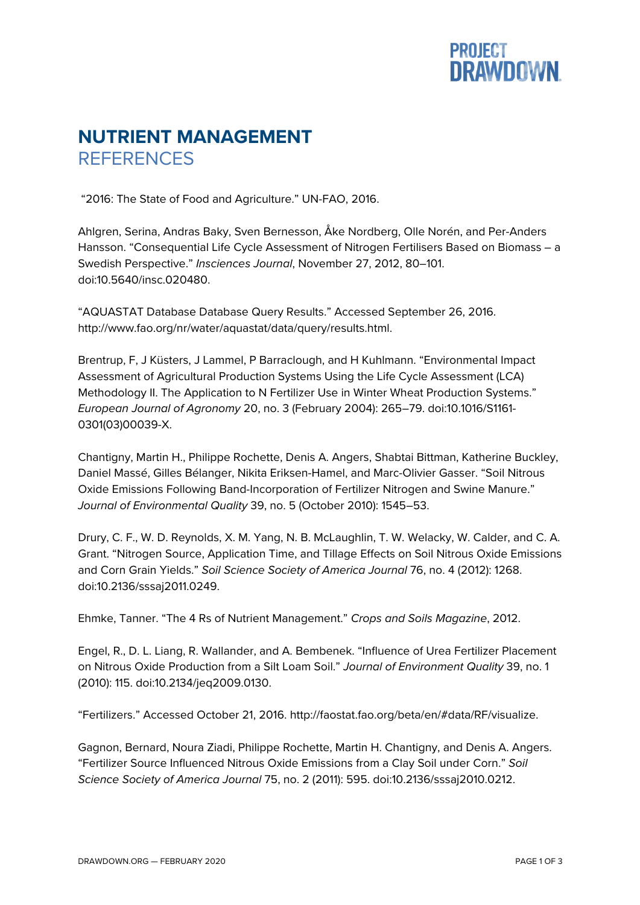## **PROJECT<br>DRAWDOWN**

## **NUTRIENT MANAGEMENT REFERENCES**

"2016: The State of Food and Agriculture." UN-FAO, 2016.

Ahlgren, Serina, Andras Baky, Sven Bernesson, Åke Nordberg, Olle Norén, and Per-Anders Hansson. "Consequential Life Cycle Assessment of Nitrogen Fertilisers Based on Biomass – a Swedish Perspective." *Insciences Journal*, November 27, 2012, 80–101. doi:10.5640/insc.020480.

"AQUASTAT Database Database Query Results." Accessed September 26, 2016. http://www.fao.org/nr/water/aquastat/data/query/results.html.

Brentrup, F, J Küsters, J Lammel, P Barraclough, and H Kuhlmann. "Environmental Impact Assessment of Agricultural Production Systems Using the Life Cycle Assessment (LCA) Methodology II. The Application to N Fertilizer Use in Winter Wheat Production Systems." *European Journal of Agronomy* 20, no. 3 (February 2004): 265–79. doi:10.1016/S1161- 0301(03)00039-X.

Chantigny, Martin H., Philippe Rochette, Denis A. Angers, Shabtai Bittman, Katherine Buckley, Daniel Massé, Gilles Bélanger, Nikita Eriksen-Hamel, and Marc-Olivier Gasser. "Soil Nitrous Oxide Emissions Following Band-Incorporation of Fertilizer Nitrogen and Swine Manure." *Journal of Environmental Quality* 39, no. 5 (October 2010): 1545–53.

Drury, C. F., W. D. Reynolds, X. M. Yang, N. B. McLaughlin, T. W. Welacky, W. Calder, and C. A. Grant. "Nitrogen Source, Application Time, and Tillage Effects on Soil Nitrous Oxide Emissions and Corn Grain Yields." *Soil Science Society of America Journal* 76, no. 4 (2012): 1268. doi:10.2136/sssaj2011.0249.

Ehmke, Tanner. "The 4 Rs of Nutrient Management." *Crops and Soils Magazine*, 2012.

Engel, R., D. L. Liang, R. Wallander, and A. Bembenek. "Influence of Urea Fertilizer Placement on Nitrous Oxide Production from a Silt Loam Soil." *Journal of Environment Quality* 39, no. 1 (2010): 115. doi:10.2134/jeq2009.0130.

"Fertilizers." Accessed October 21, 2016. http://faostat.fao.org/beta/en/#data/RF/visualize.

Gagnon, Bernard, Noura Ziadi, Philippe Rochette, Martin H. Chantigny, and Denis A. Angers. "Fertilizer Source Influenced Nitrous Oxide Emissions from a Clay Soil under Corn." *Soil Science Society of America Journal* 75, no. 2 (2011): 595. doi:10.2136/sssaj2010.0212.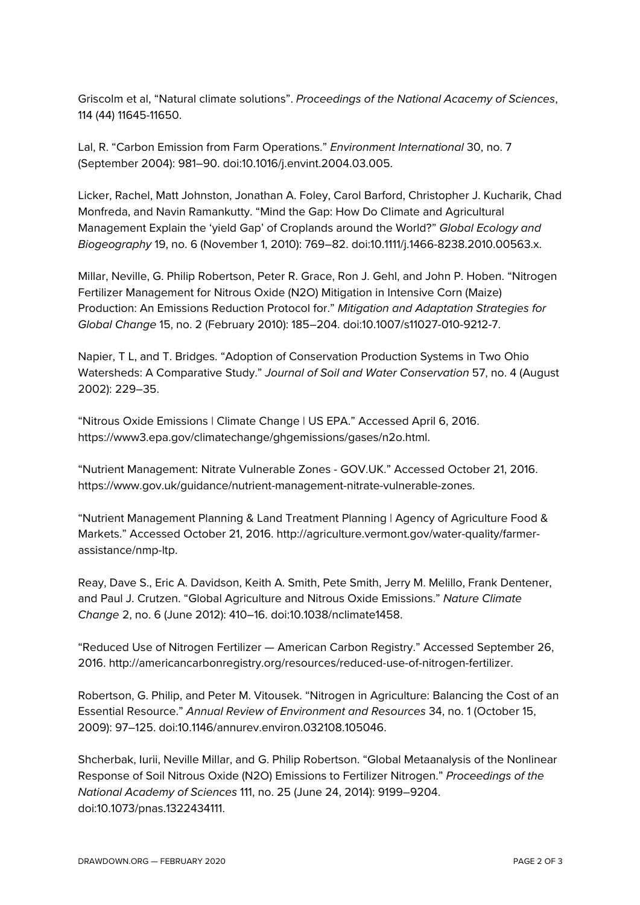Griscolm et al, "Natural climate solutions". *Proceedings of the National Acacemy of Sciences*, 114 (44) 11645-11650.

Lal, R. "Carbon Emission from Farm Operations." *Environment International* 30, no. 7 (September 2004): 981–90. doi:10.1016/j.envint.2004.03.005.

Licker, Rachel, Matt Johnston, Jonathan A. Foley, Carol Barford, Christopher J. Kucharik, Chad Monfreda, and Navin Ramankutty. "Mind the Gap: How Do Climate and Agricultural Management Explain the 'yield Gap' of Croplands around the World?" *Global Ecology and Biogeography* 19, no. 6 (November 1, 2010): 769–82. doi:10.1111/j.1466-8238.2010.00563.x.

Millar, Neville, G. Philip Robertson, Peter R. Grace, Ron J. Gehl, and John P. Hoben. "Nitrogen Fertilizer Management for Nitrous Oxide (N2O) Mitigation in Intensive Corn (Maize) Production: An Emissions Reduction Protocol for." *Mitigation and Adaptation Strategies for Global Change* 15, no. 2 (February 2010): 185–204. doi:10.1007/s11027-010-9212-7.

Napier, T L, and T. Bridges. "Adoption of Conservation Production Systems in Two Ohio Watersheds: A Comparative Study." *Journal of Soil and Water Conservation* 57, no. 4 (August 2002): 229–35.

"Nitrous Oxide Emissions | Climate Change | US EPA." Accessed April 6, 2016. https://www3.epa.gov/climatechange/ghgemissions/gases/n2o.html.

"Nutrient Management: Nitrate Vulnerable Zones - GOV.UK." Accessed October 21, 2016. https://www.gov.uk/guidance/nutrient-management-nitrate-vulnerable-zones.

"Nutrient Management Planning & Land Treatment Planning | Agency of Agriculture Food & Markets." Accessed October 21, 2016. http://agriculture.vermont.gov/water-quality/farmerassistance/nmp-ltp.

Reay, Dave S., Eric A. Davidson, Keith A. Smith, Pete Smith, Jerry M. Melillo, Frank Dentener, and Paul J. Crutzen. "Global Agriculture and Nitrous Oxide Emissions." *Nature Climate Change* 2, no. 6 (June 2012): 410–16. doi:10.1038/nclimate1458.

"Reduced Use of Nitrogen Fertilizer — American Carbon Registry." Accessed September 26, 2016. http://americancarbonregistry.org/resources/reduced-use-of-nitrogen-fertilizer.

Robertson, G. Philip, and Peter M. Vitousek. "Nitrogen in Agriculture: Balancing the Cost of an Essential Resource." *Annual Review of Environment and Resources* 34, no. 1 (October 15, 2009): 97–125. doi:10.1146/annurev.environ.032108.105046.

Shcherbak, Iurii, Neville Millar, and G. Philip Robertson. "Global Metaanalysis of the Nonlinear Response of Soil Nitrous Oxide (N2O) Emissions to Fertilizer Nitrogen." *Proceedings of the National Academy of Sciences* 111, no. 25 (June 24, 2014): 9199–9204. doi:10.1073/pnas.1322434111.